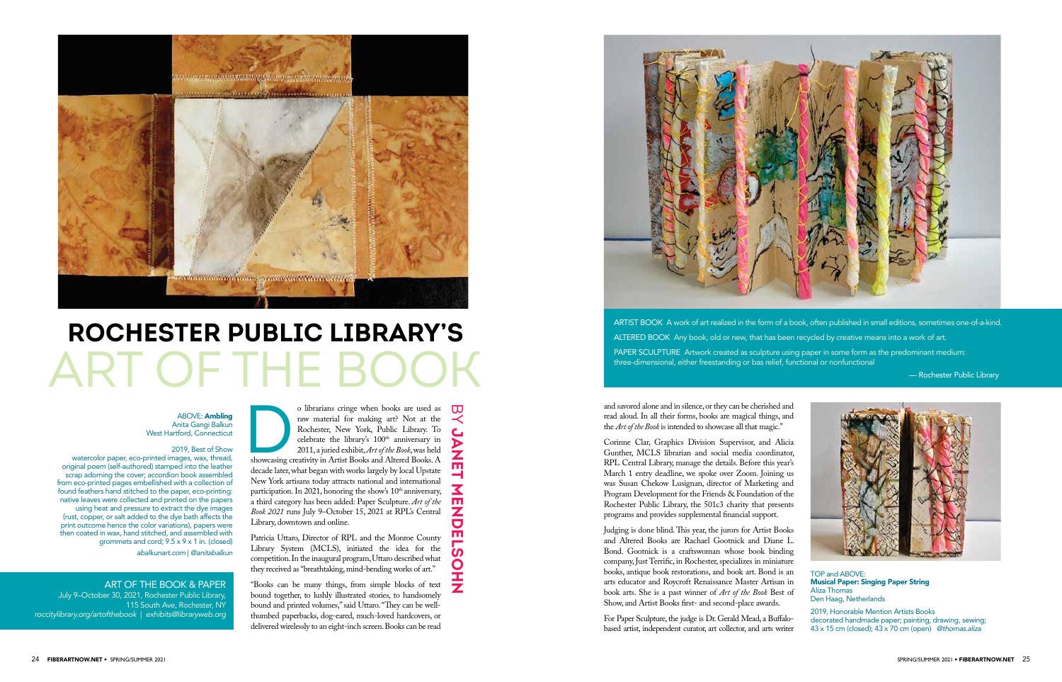**JANET MENDELSOHN** 

 $\ddot{\mathbf{z}}$ 

513

OHZ

ᅥ

 $\frac{1}{2}$ 

o librarians cringe when books are used as<br>raw material for making art? Not at the<br>Rochester, New York, Public Library. To<br>celebrate the library's  $100^{\text{th}}$  anniversary in<br>2011, a juried exhibit, Art of the Book, was hel o librarians cringe when books are used as raw material for making art? Not at the Rochester, New York, Public Library. To celebrate the library's 100<sup>th</sup> anniversary in 2011, a juried exhibit, *Art of the Book*, was held decade later, what began with works largely by local Upstate New York artisans today attracts national and international participation. In 2021, honoring the show's  $10<sup>th</sup>$  anniversary, a third category has been added: Paper Sculpture. *Art of the Book 2021* runs July 9–October 15, 2021 at RPL's Central Library, downtown and online.

**BY JANE** 



## **ROCHESTER PUBLIC LIBRARY'S** ART OF THE

Patricia Uttaro, Director of RPL and the Monroe County Library System (MCLS), initiated the idea for the competition. In the inaugural program, Uttaro described what they received as "breathtaking, mind-bending works of art."

"Books can be many things, from simple blocks of text bound together, to lushly illustrated stories, to handsomely bound and printed volumes," said Uttaro. "They can be wellthumbed paperbacks, dog-eared, much-loved hardcovers, or delivered wirelessly to an eight-inch screen. Books can be read



and savored alone and in silence, or they can be cherished and read aloud. In all their forms, books are magical things, and the *Art of the Book* is intended to showcase all that magic."

Corinne Clar, Graphics Division Supervisor, and Alicia Gunther, MCLS librarian and social media coordinator, RPL Central Library, manage the details. Before this year's March 1 entry deadline, we spoke over Zoom. Joining us was Susan Chekow Lusignan, director of Marketing and Program Development for the Friends & Foundation of the Rochester Public Library, the 501c3 charity that presents programs and provides supplemental financial support.

ABOVE: Ambling Anita Gangi Balkun West Hartford, Connecticut

> Judging is done blind. This year, the jurors for Artist Books and Altered Books are Rachael Gootnick and Diane L. Bond. Gootnick is a craftswoman whose book binding company, Just Terrific, in Rochester, specializes in miniature books, antique book restorations, and book art. Bond is an arts educator and Roycroft Renaissance Master Artisan in book arts. She is a past winner of *Art of the Book* Best of Show, and Artist Books first- and second-place awards.

TOP and ABOVE: Musical Paper: Singing Paper String Aliza Thomas Den Haag, Netherlands

For Paper Sculpture, the judge is Dr. Gerald Mead, a Buffalobased artist, independent curator, art collector, and arts writer 2019, Honorable Mention Artists Books decorated handmade paper; painting, drawing, sewing; 43 x 15 cm (closed); 43 x 70 cm (open) *@thomas.aliza*

ART OF THE BOOK & PAPER

July 9–October 30, 2021, Rochester Public Library, 115 South Ave, Rochester, NY *roccitylibrary.org/artofthebook* | *exhibits@libraryweb.org*

ARTIST BOOK A work of art realized in the form of a book, often published in small editions, sometimes one-of-a-kind. ALTERED BOOK Any book, old or new, that has been recycled by creative means into a work of art. PAPER SCULPTURE Artwork created as sculpture using paper in some form as the predominant medium: three-dimensional, either freestanding or bas relief, functional or nonfunctional

— Rochester Public Library



## 2019, Best of Show

watercolor paper, eco-printed images, wax, thread, original poem (self-authored) stamped into the leather scrap adorning the cover; accordion book assembled from eco-printed pages embellished with a collection of found feathers hand stitched to the paper, eco-printing: native leaves were collected and printed on the papers using heat and pressure to extract the dye images (rust, copper, or salt added to the dye bath affects the print outcome hence the color variations), papers were then coated in wax, hand stitched, and assembled with grommets and cord; 9.5 x 9 x 1 in. (closed) *abalkunart.com* | *@anitabalkun*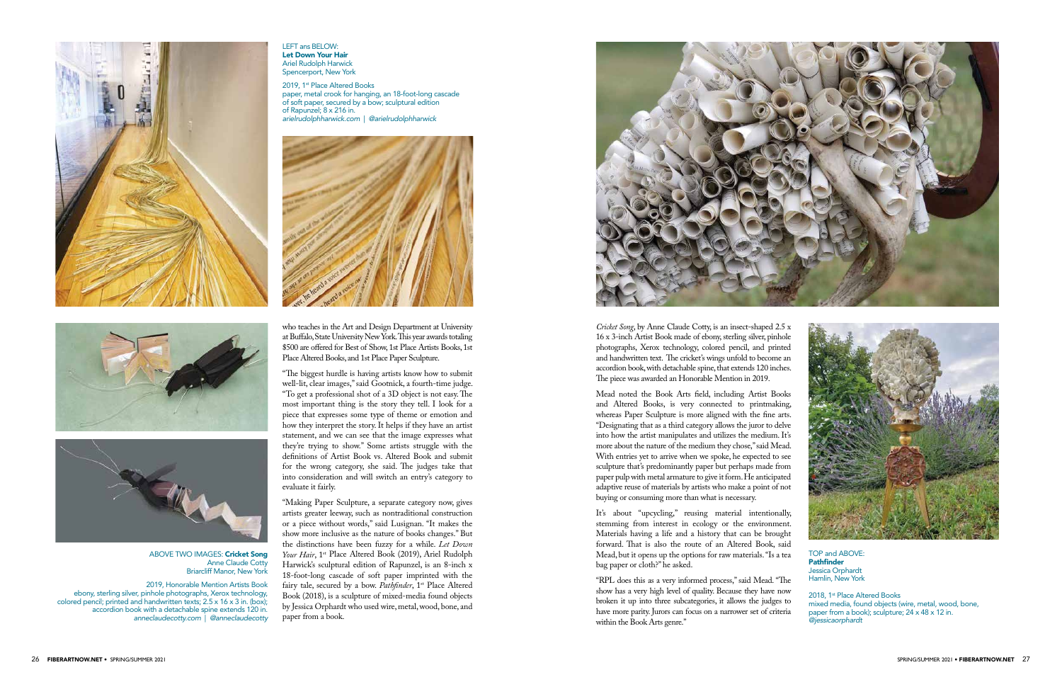*Cricket Song*, by Anne Claude Cotty, is an insect-shaped 2.5 x 16 x 3-inch Artist Book made of ebony, sterling silver, pinhole photographs, Xerox technology, colored pencil, and printed and handwritten text. The cricket's wings unfold to become an accordion book, with detachable spine, that extends 120 inches. The piece was awarded an Honorable Mention in 2019.

Mead noted the Book Arts field, including Artist Books and Altered Books, is very connected to printmaking, whereas Paper Sculpture is more aligned with the fine arts. "Designating that as a third category allows the juror to delve into how the artist manipulates and utilizes the medium. It's more about the nature of the medium they chose," said Mead. With entries yet to arrive when we spoke, he expected to see sculpture that's predominantly paper but perhaps made from paper pulp with metal armature to give it form. He anticipated adaptive reuse of materials by artists who make a point of not buying or consuming more than what is necessary.

It's about "upcycling," reusing material intentionally, stemming from interest in ecology or the environment. Materials having a life and a history that can be brought forward. That is also the route of an Altered Book, said Mead, but it opens up the options for raw materials. "Is a tea bag paper or cloth?" he asked.

"RPL does this as a very informed process," said Mead. "The show has a very high level of quality. Because they have now broken it up into three subcategories, it allows the judges to have more parity. Jurors can focus on a narrower set of criteria within the Book Arts genre."



2018, 1<sup>st</sup> Place Altered Books mixed media, found objects (wire, metal, wood, bone, paper from a book); sculpture; 24 x 48 x 12 in. *@jessicaorphardt*

who teaches in the Art and Design Department at University at Buffalo, State University New York. This year awards totaling \$500 are offered for Best of Show, 1st Place Artists Books, 1st Place Altered Books, and 1st Place Paper Sculpture.

2019, 1<sup>st</sup> Place Altered Books paper, metal crook for hanging, an 18-foot-long cascade of soft paper, secured by a bow; sculptural edition of Rapunzel; 8 x 216 in. *arielrudolphharwick.com* | *@arielrudolphharwick*



"The biggest hurdle is having artists know how to submit well-lit, clear images," said Gootnick, a fourth-time judge. "To get a professional shot of a 3D object is not easy. The most important thing is the story they tell. I look for a piece that expresses some type of theme or emotion and how they interpret the story. It helps if they have an artist statement, and we can see that the image expresses what they're trying to show." Some artists struggle with the definitions of Artist Book vs. Altered Book and submit for the wrong category, she said. The judges take that into consideration and will switch an entry's category to evaluate it fairly.

"Making Paper Sculpture, a separate category now, gives artists greater leeway, such as nontraditional construction or a piece without words," said Lusignan. "It makes the show more inclusive as the nature of books changes." But the distinctions have been fuzzy for a while. *Let Down*  Your Hair, 1<sup>st</sup> Place Altered Book (2019), Ariel Rudolph Harwick's sculptural edition of Rapunzel, is an 8-inch x 18-foot-long cascade of soft paper imprinted with the fairy tale, secured by a bow. Pathfinder, 1<sup>st</sup> Place Altered Book (2018), is a sculpture of mixed-media found objects by Jessica Orphardt who used wire, metal, wood, bone, and paper from a book.



TOP and ABOVE: **Pathfinder** Jessica Orphardt Hamlin, New York







## ABOVE TWO IMAGES: Cricket Song Anne Claude Cotty Briarcliff Manor, New York

2019, Honorable Mention Artists Book ebony, sterling silver, pinhole photographs, Xerox technology, colored pencil; printed and handwritten texts; 2.5 x 16 x 3 in. (box); accordion book with a detachable spine extends 120 in. *anneclaudecotty.com* | *@anneclaudecotty*

LEFT ans BELOW: Let Down Your Hair Ariel Rudolph Harwick Spencerport, New York